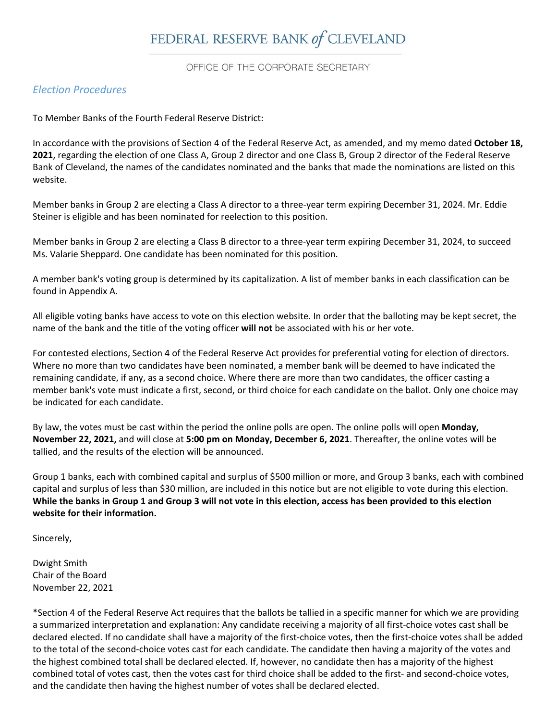# FEDERAL RESERVE BANK of CLEVELAND

OFFICE OF THE CORPORATE SECRETARY

## *Election Procedures*

To Member Banks of the Fourth Federal Reserve District:

In accordance with the provisions of Section 4 of the Federal Reserve Act, as amended, and my memo dated **October 18, 2021**, regarding the election of one Class A, Group 2 director and one Class B, Group 2 director of the Federal Reserve Bank of Cleveland, the names of the candidates nominated and the banks that made the nominations are listed on this website.

Member banks in Group 2 are electing a Class A director to a three‐year term expiring December 31, 2024. Mr. Eddie Steiner is eligible and has been nominated for reelection to this position.

Member banks in Group 2 are electing a Class B director to a three‐year term expiring December 31, 2024, to succeed Ms. Valarie Sheppard. One candidate has been nominated for this position.

A member bank's voting group is determined by its capitalization. A list of member banks in each classification can be found in Appendix A.

All eligible voting banks have access to vote on this election website. In order that the balloting may be kept secret, the name of the bank and the title of the voting officer **will not** be associated with his or her vote.

For contested elections, Section 4 of the Federal Reserve Act provides for preferential voting for election of directors. Where no more than two candidates have been nominated, a member bank will be deemed to have indicated the remaining candidate, if any, as a second choice. Where there are more than two candidates, the officer casting a member bank's vote must indicate a first, second, or third choice for each candidate on the ballot. Only one choice may be indicated for each candidate.

By law, the votes must be cast within the period the online polls are open. The online polls will open **Monday, November 22, 2021,** and will close at **5:00 pm on Monday, December 6, 2021**. Thereafter, the online votes will be tallied, and the results of the election will be announced.

Group 1 banks, each with combined capital and surplus of \$500 million or more, and Group 3 banks, each with combined capital and surplus of less than \$30 million, are included in this notice but are not eligible to vote during this election. While the banks in Group 1 and Group 3 will not vote in this election, access has been provided to this election **website for their information.**

Sincerely,

Dwight Smith Chair of the Board November 22, 2021

\*Section 4 of the Federal Reserve Act requires that the ballots be tallied in a specific manner for which we are providing a summarized interpretation and explanation: Any candidate receiving a majority of all first‐choice votes cast shall be declared elected. If no candidate shall have a majority of the first‐choice votes, then the first‐choice votes shall be added to the total of the second‐choice votes cast for each candidate. The candidate then having a majority of the votes and the highest combined total shall be declared elected. If, however, no candidate then has a majority of the highest combined total of votes cast, then the votes cast for third choice shall be added to the first- and second-choice votes, and the candidate then having the highest number of votes shall be declared elected.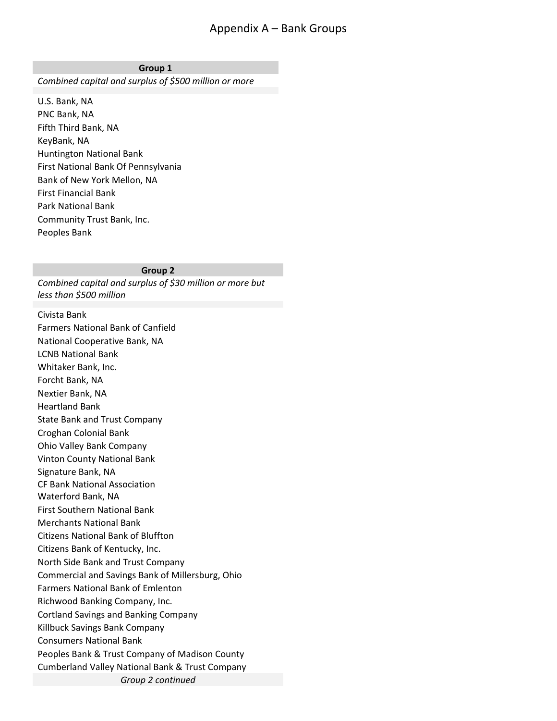## Appendix A – Bank Groups

#### **Group 1**

*Combined capital and surplus of \$500 million or more*

U.S. Bank, NA PNC Bank, NA Fifth Third Bank, NA KeyBank, NA Huntington National Bank First National Bank Of Pennsylvania Bank of New York Mellon, NA First Financial Bank Park National Bank Community Trust Bank, Inc. Peoples Bank

### **Group 2**

*Combined capital and surplus of \$30 million or more but less than \$500 million*

Civista Bank Farmers National Bank of Canfield National Cooperative Bank, NA LCNB National Bank Whitaker Bank, Inc. Forcht Bank, NA Nextier Bank, NA Heartland Bank State Bank and Trust Company Croghan Colonial Bank Ohio Valley Bank Company Vinton County National Bank Signature Bank, NA CF Bank National Association Waterford Bank, NA First Southern National Bank Merchants National Bank Citizens National Bank of Bluffton Citizens Bank of Kentucky, Inc. North Side Bank and Trust Company Commercial and Savings Bank of Millersburg, Ohio Farmers National Bank of Emlenton Richwood Banking Company, Inc. Cortland Savings and Banking Company Killbuck Savings Bank Company Consumers National Bank Peoples Bank & Trust Company of Madison County Cumberland Valley National Bank & Trust Company *Group 2 continued*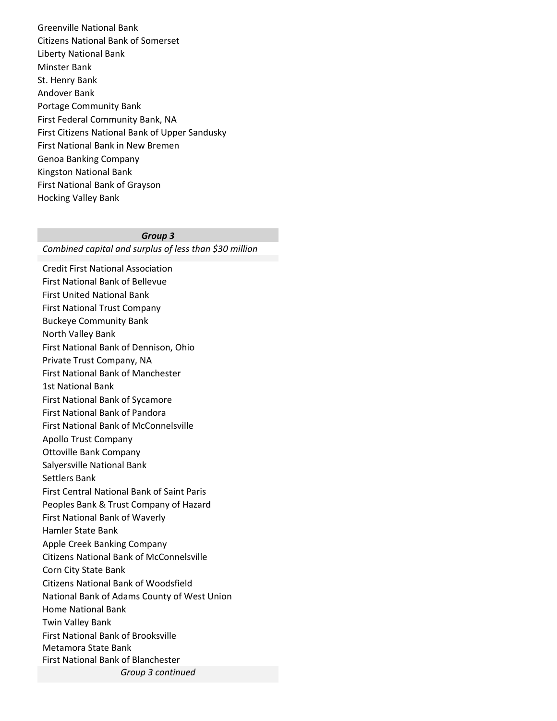Greenville National Bank Citizens National Bank of Somerset Liberty National Bank Minster Bank St. Henry Bank Andover Bank Portage Community Bank First Federal Community Bank, NA First Citizens National Bank of Upper Sandusky First National Bank in New Bremen Genoa Banking Company Kingston National Bank First National Bank of Grayson Hocking Valley Bank

#### *Group 3*

*Combined capital and surplus of less than \$30 million*

Credit First National Association First National Bank of Bellevue First United National Bank First National Trust Company Buckeye Community Bank North Valley Bank First National Bank of Dennison, Ohio Private Trust Company, NA First National Bank of Manchester 1st National Bank First National Bank of Sycamore First National Bank of Pandora First National Bank of McConnelsville Apollo Trust Company Ottoville Bank Company Salyersville National Bank Settlers Bank First Central National Bank of Saint Paris Peoples Bank & Trust Company of Hazard First National Bank of Waverly Hamler State Bank Apple Creek Banking Company Citizens National Bank of McConnelsville Corn City State Bank Citizens National Bank of Woodsfield National Bank of Adams County of West Union Home National Bank Twin Valley Bank First National Bank of Brooksville Metamora State Bank First National Bank of Blanchester *Group 3 continued*